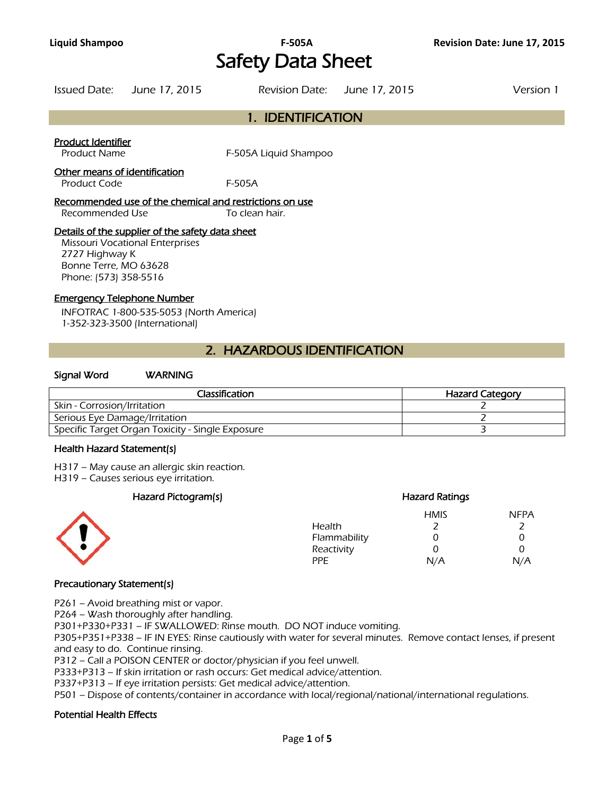# **Liquid Shampoo F-505A Revision Date: June 17, 2015**  Safety Data Sheet

|  | Issued Date: June 17, 2015 |  | Revision Date: June 17, 2015 | Version 1 |
|--|----------------------------|--|------------------------------|-----------|
|--|----------------------------|--|------------------------------|-----------|

# 1. IDENTIFICATION

## Product Identifier

Product Name F-505A Liquid Shampoo

## Other means of identification

Product Code F-505A

#### Recommended use of the chemical and restrictions on use Recommended Use To clean hair

#### Details of the supplier of the safety data sheet

Missouri Vocational Enterprises 2727 Highway K Bonne Terre, MO 63628 Phone: (573) 358-5516

#### Emergency Telephone Number

INFOTRAC 1-800-535-5053 (North America) 1-352-323-3500 (International)

# 2. HAZARDOUS IDENTIFICATION

#### Signal Word WARNING

| Classification                                   | <b>Hazard Category</b> |
|--------------------------------------------------|------------------------|
| Skin - Corrosion/Irritation                      |                        |
| Serious Eye Damage/Irritation                    |                        |
| Specific Target Organ Toxicity - Single Exposure |                        |
|                                                  |                        |

#### Health Hazard Statement(s)

H317 – May cause an allergic skin reaction.

H319 – Causes serious eye irritation.

## Hazard Pictogram(s) extending the extending Hazard Ratings



## HMIS NFPA Health 2 2 Flammability 0 0 0 Reactivity 0 0 0 PPE N/A N/A

## Precautionary Statement(s)

P261 – Avoid breathing mist or vapor.

P264 – Wash thoroughly after handling.

P301+P330+P331 – IF SWALLOWED: Rinse mouth. DO NOT induce vomiting.

P305+P351+P338 – IF IN EYES: Rinse cautiously with water for several minutes. Remove contact lenses, if present and easy to do. Continue rinsing.

P312 – Call a POISON CENTER or doctor/physician if you feel unwell.

P333+P313 – If skin irritation or rash occurs: Get medical advice/attention.

P337+P313 – If eye irritation persists: Get medical advice/attention.

P501 – Dispose of contents/container in accordance with local/regional/national/international regulations.

## Potential Health Effects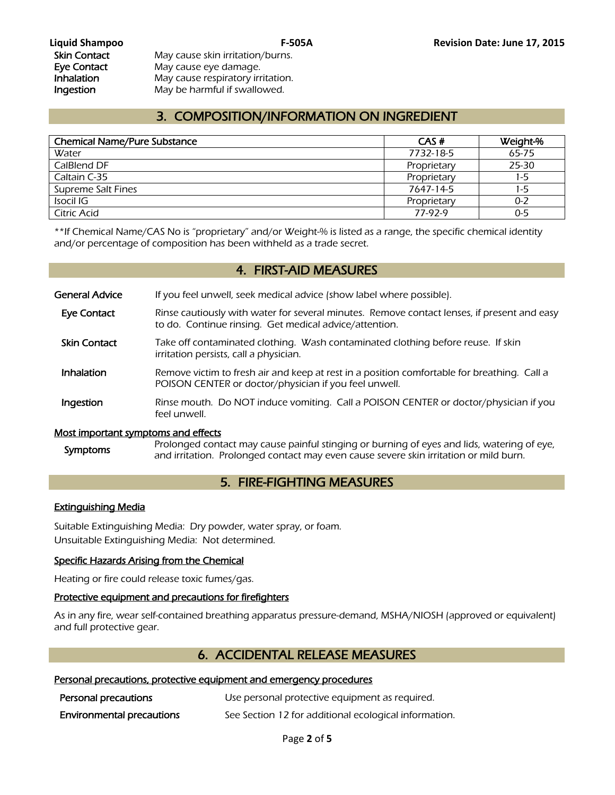Skin Contact May cause skin irritation/burns. Eye Contact May cause eye damage. **Inhalation** May cause respiratory irritation. Ingestion May be harmful if swallowed.

# 3. COMPOSITION/INFORMATION ON INGREDIENT

| <b>Chemical Name/Pure Substance</b> | CAS#        | Weight-% |
|-------------------------------------|-------------|----------|
| Water                               | 7732-18-5   | 65-75    |
| CalBlend DF                         | Proprietary | 25-30    |
| Caltain C-35                        | Proprietary | 1-5      |
| Supreme Salt Fines                  | 7647-14-5   | $1-5$    |
| Isocil IG                           | Proprietary | 0-2      |
| Citric Acid                         | 77-97-9     | $0 - 5$  |
|                                     |             |          |

\*\*If Chemical Name/CAS No is "proprietary" and/or Weight-% is listed as a range, the specific chemical identity and/or percentage of composition has been withheld as a trade secret.

# 4. FIRST-AID MEASURES

General Advice If you feel unwell, seek medical advice (show label where possible).

- Eye Contact Rinse cautiously with water for several minutes. Remove contact lenses, if present and easy to do. Continue rinsing. Get medical advice/attention.
- Skin Contact Take off contaminated clothing. Wash contaminated clothing before reuse. If skin irritation persists, call a physician.
- **Inhalation** Remove victim to fresh air and keep at rest in a position comfortable for breathing. Call a POISON CENTER or doctor/physician if you feel unwell.
- **Ingestion** Rinse mouth. Do NOT induce vomiting. Call a POISON CENTER or doctor/physician if you feel unwell.

## Most important symptoms and effects

Symptoms Prolonged contact may cause painful stinging or burning of eyes and lids, watering of eye, and irritation. Prolonged contact may even cause severe skin irritation or mild burn.

# 5. FIRE-FIGHTING MEASURES

## Extinguishing Media

Suitable Extinguishing Media: Dry powder, water spray, or foam. Unsuitable Extinguishing Media: Not determined.

## Specific Hazards Arising from the Chemical

Heating or fire could release toxic fumes/gas.

## Protective equipment and precautions for firefighters

As in any fire, wear self-contained breathing apparatus pressure-demand, MSHA/NIOSH (approved or equivalent) and full protective gear.

# 6. ACCIDENTAL RELEASE MEASURES

## Personal precautions, protective equipment and emergency procedures

| Personal precautions             | Use personal protective equipment as required.        |
|----------------------------------|-------------------------------------------------------|
| <b>Environmental precautions</b> | See Section 12 for additional ecological information. |

Page **2** of **5**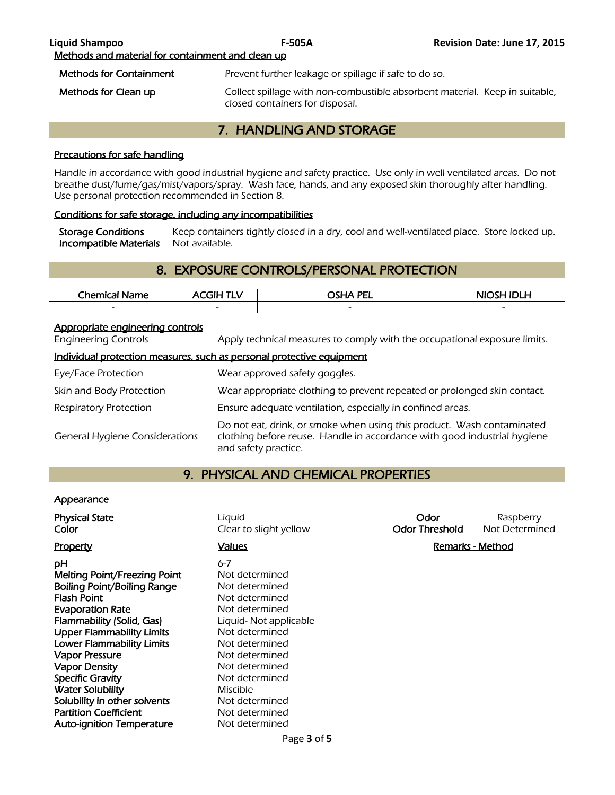# 7. HANDLING AND STORAGE

## Precautions for safe handling

Handle in accordance with good industrial hygiene and safety practice. Use only in well ventilated areas. Do not breathe dust/fume/gas/mist/vapors/spray. Wash face, hands, and any exposed skin thoroughly after handling. Use personal protection recommended in Section 8.

## Conditions for safe storage, including any incompatibilities

Storage Conditions Keep containers tightly closed in a dry, cool and well-ventilated place. Store locked up. Incompatible Materials Not available.

# 8. EXPOSURE CONTROLS/PERSONAL PROTECTION

| <b>Chemical</b> i<br>Name | 71 H                     | <b>OSHA PEL</b>          | NIOSH IDI H              |
|---------------------------|--------------------------|--------------------------|--------------------------|
| $\overline{\phantom{a}}$  | $\overline{\phantom{0}}$ | $\overline{\phantom{a}}$ | $\overline{\phantom{0}}$ |
|                           |                          |                          |                          |

## Appropriate engineering controls

Engineering Controls Apply technical measures to comply with the occupational exposure limits.

#### Individual protection measures, such as personal protective equipment

| Eye/Face Protection                   | Wear approved safety goggles.                                                                                                                                              |
|---------------------------------------|----------------------------------------------------------------------------------------------------------------------------------------------------------------------------|
| Skin and Body Protection              | Wear appropriate clothing to prevent repeated or prolonged skin contact.                                                                                                   |
| <b>Respiratory Protection</b>         | Ensure adequate ventilation, especially in confined areas.                                                                                                                 |
| <b>General Hygiene Considerations</b> | Do not eat, drink, or smoke when using this product. Wash contaminated<br>clothing before reuse. Handle in accordance with good industrial hygiene<br>and safety practice. |

# 9. PHYSICAL AND CHEMICAL PROPERTIES

#### **Appearance**

| <b>Physical State</b><br>Color                                                                                                                                                                                                                                                         | Liquid<br>Clear to slight yellow                                                                                                                                                 | Odor<br><b>Odor Threshold</b> | Raspberry<br>Not Determined |
|----------------------------------------------------------------------------------------------------------------------------------------------------------------------------------------------------------------------------------------------------------------------------------------|----------------------------------------------------------------------------------------------------------------------------------------------------------------------------------|-------------------------------|-----------------------------|
| <b>Property</b>                                                                                                                                                                                                                                                                        | <b>Values</b>                                                                                                                                                                    |                               | Remarks - Method            |
| рH<br><b>Melting Point/Freezing Point</b><br><b>Boiling Point/Boiling Range</b><br><b>Flash Point</b><br><b>Evaporation Rate</b><br>Flammability (Solid, Gas)<br><b>Upper Flammability Limits</b><br><b>Lower Flammability Limits</b><br><b>Vapor Pressure</b><br><b>Vapor Density</b> | $6 - 7$<br>Not determined<br>Not determined<br>Not determined<br>Not determined<br>Liquid-Not applicable<br>Not determined<br>Not determined<br>Not determined<br>Not determined |                               |                             |
| <b>Specific Gravity</b><br><b>Water Solubility</b>                                                                                                                                                                                                                                     | Not determined<br><b>Miscible</b>                                                                                                                                                |                               |                             |
| Solubility in other solvents                                                                                                                                                                                                                                                           | Not determined                                                                                                                                                                   |                               |                             |
| <b>Partition Coefficient</b>                                                                                                                                                                                                                                                           | Not determined                                                                                                                                                                   |                               |                             |
| <b>Auto-ignition Temperature</b>                                                                                                                                                                                                                                                       | Not determined                                                                                                                                                                   |                               |                             |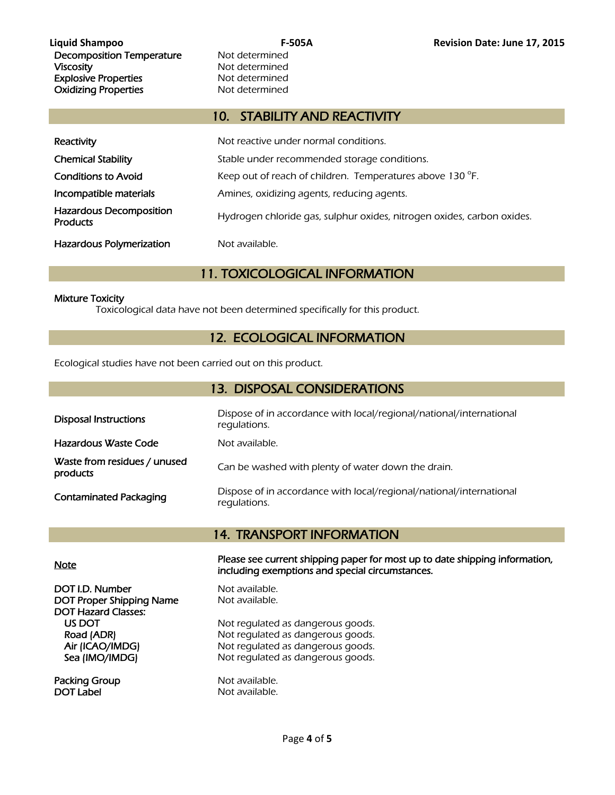# 10. STABILITY AND REACTIVITY

| Reactivity                                        | Not reactive under normal conditions.                                  |
|---------------------------------------------------|------------------------------------------------------------------------|
| <b>Chemical Stability</b>                         | Stable under recommended storage conditions.                           |
| <b>Conditions to Avoid</b>                        | Keep out of reach of children. Temperatures above 130 °F.              |
| Incompatible materials                            | Amines, oxidizing agents, reducing agents.                             |
| <b>Hazardous Decomposition</b><br><b>Products</b> | Hydrogen chloride gas, sulphur oxides, nitrogen oxides, carbon oxides. |
| <b>Hazardous Polymerization</b>                   | Not available.                                                         |

# 11. TOXICOLOGICAL INFORMATION

## Mixture Toxicity

Toxicological data have not been determined specifically for this product.

# 12. ECOLOGICAL INFORMATION

Ecological studies have not been carried out on this product.

| <b>13. DISPOSAL CONSIDERATIONS</b>       |                                                                                     |  |  |  |
|------------------------------------------|-------------------------------------------------------------------------------------|--|--|--|
| <b>Disposal Instructions</b>             | Dispose of in accordance with local/regional/national/international<br>regulations. |  |  |  |
| Hazardous Waste Code                     | Not available.                                                                      |  |  |  |
| Waste from residues / unused<br>products | Can be washed with plenty of water down the drain.                                  |  |  |  |
| <b>Contaminated Packaging</b>            | Dispose of in accordance with local/regional/national/international<br>regulations. |  |  |  |

# 14. TRANSPORT INFORMATION

DOT I.D. Number Not available. DOT Proper Shipping Name Not available. DOT Hazard Classes:

Packing Group Not available. DOT Label Not available.

Note Please see current shipping paper for most up to date shipping information, including exemptions and special circumstances.

US DOT Not regulated as dangerous goods.<br>
Road (ADR) Not regulated as dangerous goods. Not regulated as dangerous goods. Air (ICAO/IMDG) Not regulated as dangerous goods. Sea (IMO/IMDG) Not regulated as dangerous goods.